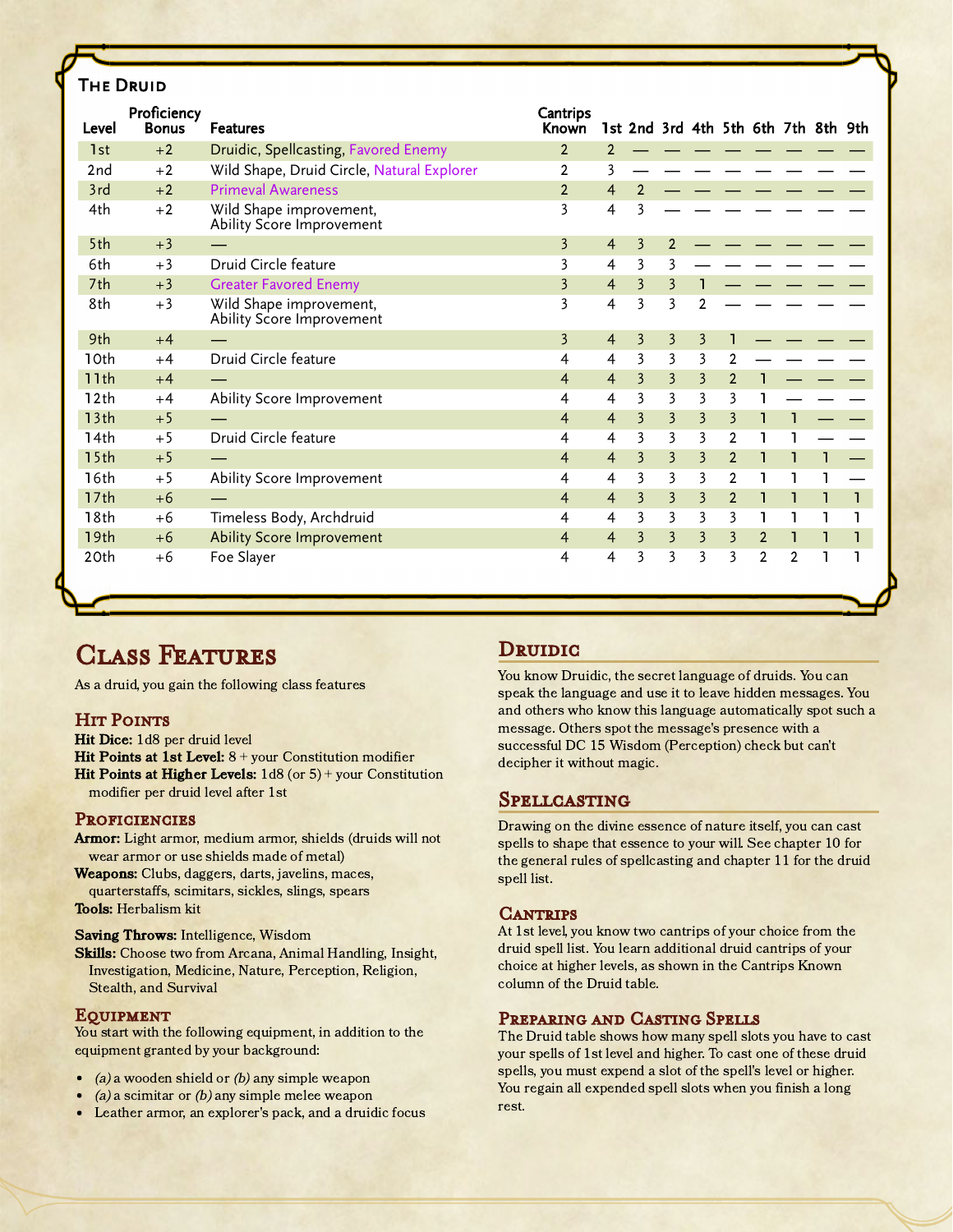#### The Druid

| Level            | Proficiency<br><b>Bonus</b> | <b>Features</b>                                      | Cantrips<br>Known       |                |                |                         |                         |                         |                |                | 1st 2nd 3rd 4th 5th 6th 7th 8th 9th |  |
|------------------|-----------------------------|------------------------------------------------------|-------------------------|----------------|----------------|-------------------------|-------------------------|-------------------------|----------------|----------------|-------------------------------------|--|
| 1st              | $+2$                        | Druidic, Spellcasting, Favored Enemy                 | $\overline{2}$          | $\overline{2}$ |                |                         |                         |                         |                |                |                                     |  |
| 2 <sub>nd</sub>  | $+2$                        | Wild Shape, Druid Circle, Natural Explorer           | 2                       | 3              |                |                         |                         |                         |                |                |                                     |  |
| 3rd              | $+2$                        | <b>Primeval Awareness</b>                            | $\overline{2}$          | $\overline{4}$ | $\overline{2}$ |                         |                         |                         |                |                |                                     |  |
| 4th              | $+2$                        | Wild Shape improvement,<br>Ability Score Improvement | 3                       | 4              |                |                         |                         |                         |                |                |                                     |  |
| 5th              | $+3$                        |                                                      | $\overline{3}$          | 4              | 3              | $\overline{2}$          |                         |                         |                |                |                                     |  |
| 6th              | $+3$                        | Druid Circle feature                                 | 3                       | 4              | 3              | 3                       |                         |                         |                |                |                                     |  |
| 7th              | $+3$                        | <b>Greater Favored Enemy</b>                         | $\overline{\mathbf{3}}$ | 4              | $\overline{3}$ | $\mathbf{3}$            |                         |                         |                |                |                                     |  |
| 8th              | $+3$                        | Wild Shape improvement,<br>Ability Score Improvement | 3                       | 4              | 3              | 3                       | 2                       |                         |                |                |                                     |  |
| 9th              | $+4$                        |                                                      | $\overline{3}$          | 4              | 3              | 3                       | 3                       |                         |                |                |                                     |  |
| 10th             | $+4$                        | Druid Circle feature                                 | 4                       | 4              | 3              | 3                       | 3                       | 2                       |                |                |                                     |  |
| 11th             | $+4$                        |                                                      | 4                       | 4              | 3              | $\overline{\mathbf{3}}$ | $\overline{3}$          | $\overline{2}$          |                |                |                                     |  |
| 12th             | $+4$                        | Ability Score Improvement                            | 4                       | 4              | 3              | 3                       | 3                       | 3                       |                |                |                                     |  |
| 13th             | $+5$                        |                                                      | 4                       | 4              | 3              | $\mathbf{3}$            | 3                       | 3                       |                |                |                                     |  |
| 14th             | $+5$                        | Druid Circle feature                                 | 4                       | 4              | 3              | 3                       | 3                       | 2                       |                |                |                                     |  |
| 15th             | $+5$                        |                                                      | 4                       | $\overline{4}$ | 3              | 3                       | $\overline{\mathbf{3}}$ | $\overline{2}$          |                |                |                                     |  |
| 16th             | $+5$                        | Ability Score Improvement                            | 4                       | 4              | 3              | 3                       | 3                       | $\overline{2}$          |                |                |                                     |  |
| 17th             | $+6$                        |                                                      | 4                       | 4              | 3              | 3                       | 3                       | $\overline{2}$          |                |                |                                     |  |
| 18th             | $+6$                        | Timeless Body, Archdruid                             | 4                       | 4              | 3              | 3                       | 3                       | 3                       | 1              |                |                                     |  |
| 19 <sub>th</sub> | $+6$                        | <b>Ability Score Improvement</b>                     | 4                       | 4              | 3              | 3                       | 3                       | $\overline{\mathbf{3}}$ | $\overline{2}$ | ı              | ı                                   |  |
| 20th             | $+6$                        | Foe Slayer                                           | 4                       | 4              | 3              | 3                       | 3                       | 3                       | $\overline{2}$ | $\overline{2}$ |                                     |  |

# Class Features

As a druid, you gain the following class features

#### **HIT POINTS**

Hit Dice: 1d8 per druid level Hit Points at 1st Level: 8 + your Constitution modifier Hit Points at Higher Levels: 1d8 (or 5) + your Constitution modifier per druid level after 1st

#### PROFICIENCIES

Armor: Light armor, medium armor, shields (druids will not wear armor or use shields made of metal)

Weapons: Clubs, daggers, darts, javelins, maces, quarterstaffs, scimitars, sickles, slings, spears Tools: Herbalism kit

Saving Throws: Intelligence, Wisdom

Skills: Choose two from Arcana, Animal Handling, Insight, Investigation, Medicine, Nature, Perception, Religion, Stealth, and Survival

#### **EQUIPMENT**

You start with the following equipment, in addition to the equipment granted by your background:

- (a) a wooden shield or  $(b)$  any simple weapon
- $(a)$  a scimitar or  $(b)$  any simple melee weapon
- Leather armor, an explorer's pack, and a druidic focus

### Druidic

You know Druidic, the secret language of druids. You can speak the language and use it to leave hidden messages. You and others who know this language automatically spot such a message. Others spot the message's presence with a successful DC 15 Wisdom (Perception) check but can't decipher it without magic.

#### Spellcasting

Drawing on the divine essence of nature itself, you can cast spells to shape that essence to your will. See chapter 10 for the general rules of spellcasting and chapter 11 for the druid spell list.

#### **CANTRIPS**

At 1st level, you know two cantrips of your choice from the druid spell list. You learn additional druid cantrips of your choice at higher levels, as shown in the Cantrips Known column of the Druid table.

#### Preparing and Casting Spells

The Druid table shows how many spell slots you have to cast your spells of 1st level and higher. To cast one of these druid spells, you must expend a slot of the spell's level or higher. You regain all expended spell slots when you finish a long rest.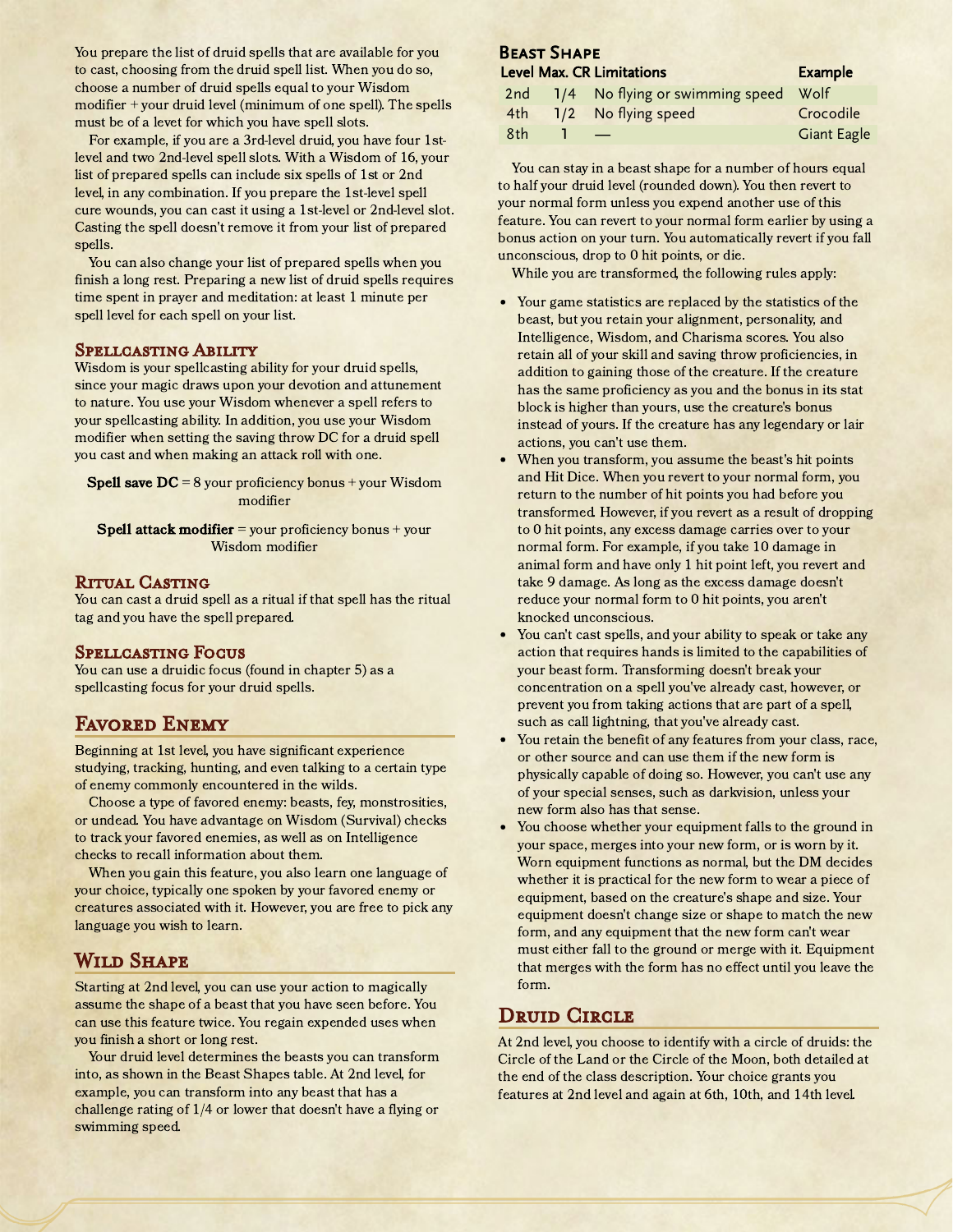You prepare the list of druid spells that are available for you to cast, choosing from the druid spell list. When you do so, choose a number of druid spells equal to your Wisdom modifier + your druid level (minimum of one spell). The spells must be of a levet for which you have spell slots.

For example, if you are a 3rd-level druid, you have four 1stlevel and two 2nd-level spell slots. With a Wisdom of 16, your list of prepared spells can include six spells of 1st or 2nd level, in any combination. If you prepare the 1st-level spell cure wounds, you can cast it using a 1st-level or 2nd-level slot. Casting the spell doesn't remove it from your list of prepared spells.

You can also change your list of prepared spells when you finish a long rest. Preparing a new list of druid spells requires time spent in prayer and meditation: at least 1 minute per spell level for each spell on your list.

#### Spellcasting Ability

Wisdom is your spellcasting ability for your druid spells, since your magic draws upon your devotion and attunement to nature. You use your Wisdom whenever a spell refers to your spellcasting ability. In addition, you use your Wisdom modifier when setting the saving throw DC for a druid spell you cast and when making an attack roll with one.

**Spell save DC** = 8 your proficiency bonus + your Wisdom modifier

Spell attack modifier  $=$  your proficiency bonus  $+$  your Wisdom modifier

#### Ritual Casting

You can cast a druid spell as a ritual if that spell has the ritual tag and you have the spell prepared.

#### Spellcasting Focus

You can use a druidic focus (found in chapter 5) as a spellcasting focus for your druid spells.

### Favored Enemy

Beginning at 1st level, you have significant experience studying, tracking, hunting, and even talking to a certain type of enemy commonly encountered in the wilds.

Choose a type of favored enemy: beasts, fey, monstrosities, or undead. You have advantage on Wisdom (Survival) checks to track your favored enemies, as well as on Intelligence checks to recall information about them.

When you gain this feature, you also learn one language of your choice, typically one spoken by your favored enemy or creatures associated with it. However, you are free to pick any language you wish to learn.

### WILD SHAPE

Starting at 2nd level, you can use your action to magically assume the shape of a beast that you have seen before. You can use this feature twice. You regain expended uses when you finish a short or long rest.

Your druid level determines the beasts you can transform into, as shown in the Beast Shapes table. At 2nd level, for example, you can transform into any beast that has a challenge rating of 1/4 or lower that doesn't have a flying or swimming speed.

### Beast Shape Level Max. CR Limitations **Example** 2nd 1/4 No flying or swimming speed Wolf 4th 1/2 No flying speed Crocodile 8th 1 — Giant Eagle

You can stay in a beast shape for a number of hours equal to half your druid level (rounded down). You then revert to your normal form unless you expend another use of this feature. You can revert to your normal form earlier by using a bonus action on your turn. You automatically revert if you fall unconscious, drop to 0 hit points, or die.

While you are transformed, the following rules apply:

- Your game statistics are replaced by the statistics of the beast, but you retain your alignment, personality, and Intelligence, Wisdom, and Charisma scores. You also retain all of your skill and saving throw proficiencies, in addition to gaining those of the creature. If the creature has the same proficiency as you and the bonus in its stat block is higher than yours, use the creature's bonus instead of yours. If the creature has any legendary or lair actions, you can't use them.
- When you transform, you assume the beast's hit points and Hit Dice. When you revert to your normal form, you return to the number of hit points you had before you transformed. However, if you revert as a result of dropping to 0 hit points, any excess damage carries over to your normal form. For example, if you take 10 damage in animal form and have only 1 hit point left, you revert and take 9 damage. As long as the excess damage doesn't reduce your normal form to 0 hit points, you aren't knocked unconscious.
- You can't cast spells, and your ability to speak or take any action that requires hands is limited to the capabilities of your beast form. Transforming doesn't break your concentration on a spell you've already cast, however, or prevent you from taking actions that are part of a spell, such as call lightning, that you've already cast.
- You retain the benefit of any features from your class, race, or other source and can use them if the new form is physically capable of doing so. However, you can't use any of your special senses, such as darkvision, unless your new form also has that sense.
- You choose whether your equipment falls to the ground in your space, merges into your new form, or is worn by it. Worn equipment functions as normal, but the DM decides whether it is practical for the new form to wear a piece of equipment, based on the creature's shape and size. Your equipment doesn't change size or shape to match the new form, and any equipment that the new form can't wear must either fall to the ground or merge with it. Equipment that merges with the form has no effect until you leave the form.

### Druid Circle

At 2nd level, you choose to identify with a circle of druids: the Circle of the Land or the Circle of the Moon, both detailed at the end of the class description. Your choice grants you features at 2nd level and again at 6th, 10th, and 14th level.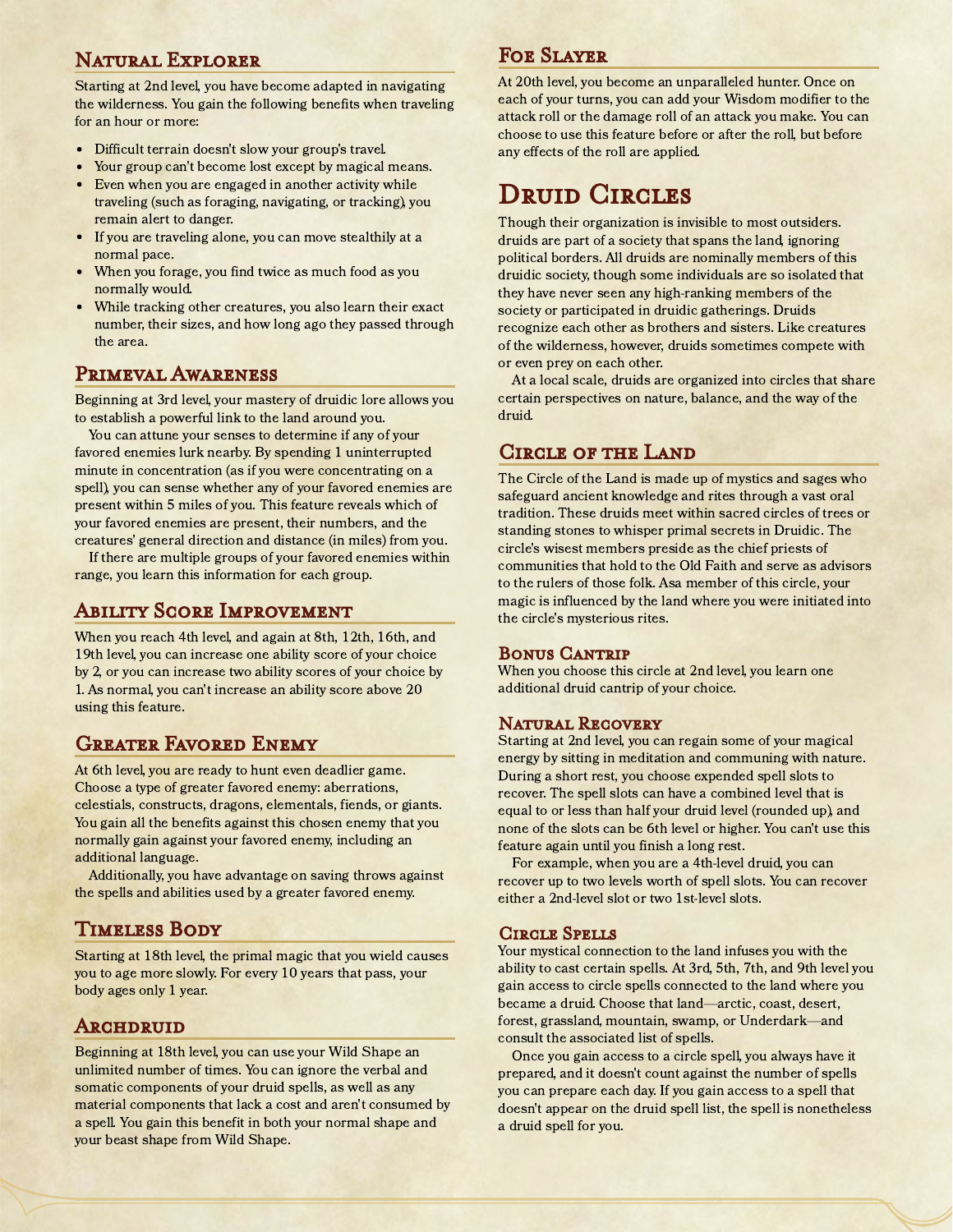### Natural Explorer

Starting at 2nd level, you have become adapted in navigating the wilderness. You gain the following benefits when traveling for an hour or more:

- Difficult terrain doesn't slow your group's travel.  $\bullet$
- Your group can't become lost except by magical means.
- Even when you are engaged in another activity while  $\bullet$ traveling (such as foraging, navigating, or tracking), you remain alert to danger.
- If you are traveling alone, you can move stealthily at a normal pace.
- When you forage, you find twice as much food as you normally would.
- While tracking other creatures, you also learn their exact number, their sizes, and how long ago they passed through the area.

### Primeval Awareness

Beginning at 3rd level, your mastery of druidic lore allows you to establish a powerful link to the land around you.

You can attune your senses to determine if any of your favored enemies lurk nearby. By spending 1 uninterrupted minute in concentration (as if you were concentrating on a spell), you can sense whether any of your favored enemies are present within 5 miles of you. This feature reveals which of your favored enemies are present, their numbers, and the creatures' general direction and distance (in miles) from you.

If there are multiple groups of your favored enemies within range, you learn this information for each group.

### Ability Score Improvement

When you reach 4th level, and again at 8th, 12th, 16th, and 19th level, you can increase one ability score of your choice by 2, or you can increase two ability scores of your choice by 1. As normal, you can't increase an ability score above 20 using this feature.

### Greater Favored Enemy

At 6th level, you are ready to hunt even deadlier game. Choose a type of greater favored enemy: aberrations, celestials, constructs, dragons, elementals, fiends, or giants. You gain all the benefits against this chosen enemy that you normally gain against your favored enemy, including an additional language.

Additionally, you have advantage on saving throws against the spells and abilities used by a greater favored enemy.

### Timeless Body

Starting at 18th level, the primal magic that you wield causes you to age more slowly. For every 10 years that pass, your body ages only 1 year.

### ARCHDRUID

Beginning at 18th level, you can use your Wild Shape an unlimited number of times. You can ignore the verbal and somatic components of your druid spells, as well as any material components that lack a cost and aren't consumed by a spell. You gain this benefit in both your normal shape and your beast shape from Wild Shape.

### Foe Slayer

At 20th level, you become an unparalleled hunter. Once on each of your turns, you can add your Wisdom modifier to the attack roll or the damage roll of an attack you make. You can choose to use this feature before or after the roll, but before any effects of the roll are applied.

# DRUID CIRCLES

Though their organization is invisible to most outsiders. druids are part of a society that spans the land, ignoring political borders. All druids are nominally members of this druidic society, though some individuals are so isolated that they have never seen any high-ranking members of the society or participated in druidic gatherings. Druids recognize each other as brothers and sisters. Like creatures of the wilderness, however, druids sometimes compete with or even prey on each other.

At a local scale, druids are organized into circles that share certain perspectives on nature, balance, and the way of the druid.

### Circle of the Land

The Circle of the Land is made up of mystics and sages who safeguard ancient knowledge and rites through a vast oral tradition. These druids meet within sacred circles of trees or standing stones to whisper primal secrets in Druidic. The circle's wisest members preside as the chief priests of communities that hold to the Old Faith and serve as advisors to the rulers of those folk. Asa member of this circle, your magic is influenced by the land where you were initiated into the circle's mysterious rites.

### Bonus Cantrip

When you choose this circle at 2nd level, you learn one additional druid cantrip of your choice.

#### Natural Recovery

Starting at 2nd level, you can regain some of your magical energy by sitting in meditation and communing with nature. During a short rest, you choose expended spell slots to recover. The spell slots can have a combined level that is equal to or less than half your druid level (rounded up), and none of the slots can be 6th level or higher. You can't use this feature again until you finish a long rest.

For example, when you are a 4th-level druid, you can recover up to two levels worth of spell slots. You can recover either a 2nd-level slot or two 1st-level slots.

#### Circle Spells

Your mystical connection to the land infuses you with the ability to cast certain spells. At 3rd, 5th, 7th, and 9th level you gain access to circle spells connected to the land where you became a druid. Choose that land—arctic, coast, desert, forest, grassland, mountain, swamp, or Underdark—and consult the associated list of spells.

Once you gain access to a circle spell, you always have it prepared, and it doesn't count against the number of spells you can prepare each day. If you gain access to a spell that doesn't appear on the druid spell list, the spell is nonetheless a druid spell for you.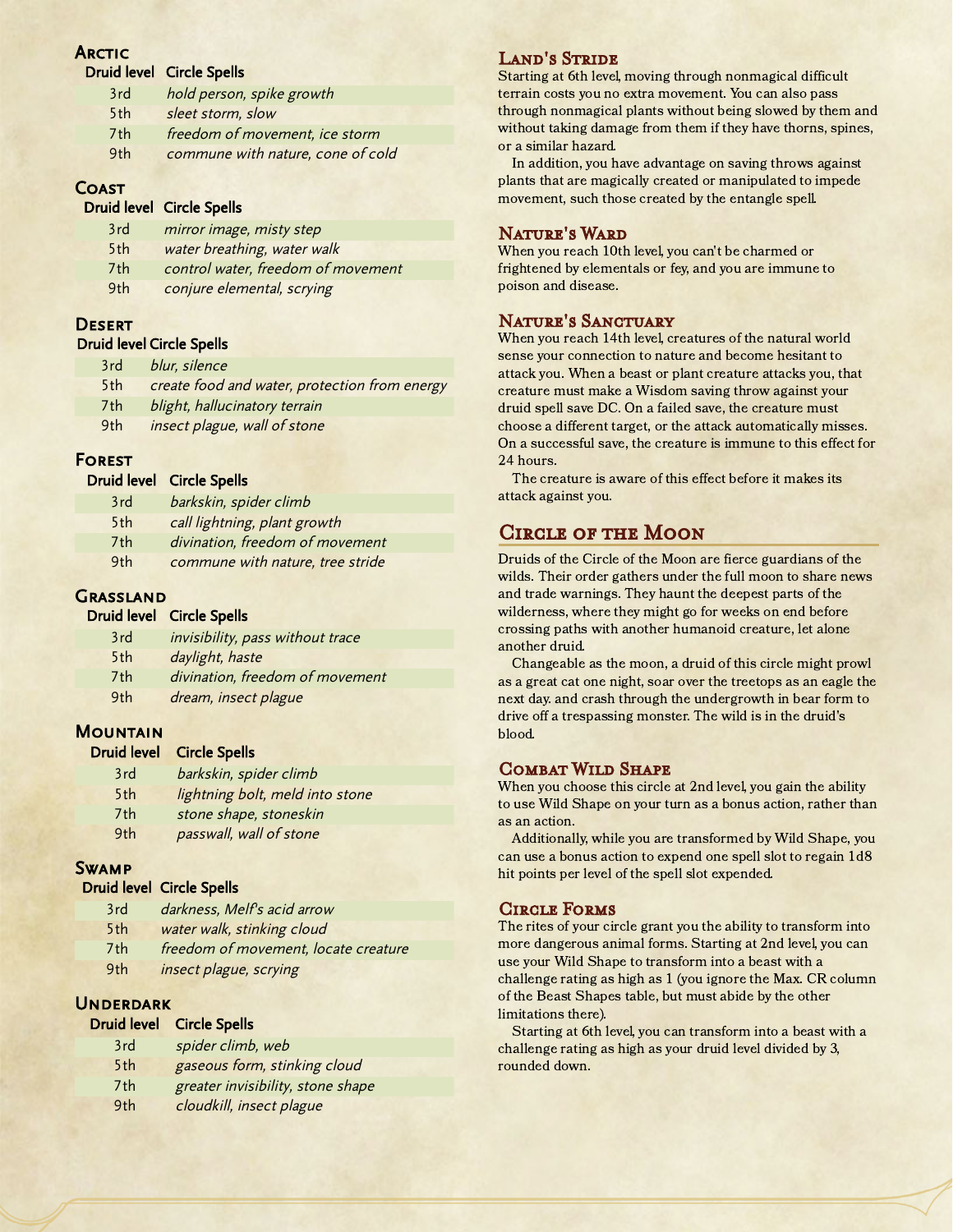# **ARCTIC**

### Druid level Circle Spells

- 3rd hold person, spike growth
- 5th sleet storm, slow
- 7th freedom of movement, ice storm
- 9th commune with nature, cone of cold

### **COAST**

### Druid level Circle Spells

| 3rd | mirror image, misty step           |
|-----|------------------------------------|
| 5th | water breathing, water walk        |
| 7th | control water, freedom of movement |
| 9th | conjure elemental, scrying         |

#### **DESERT** Druid level Circle Spells

|                 | .                                             |
|-----------------|-----------------------------------------------|
|                 | 3rd blur, silence                             |
| 5th             | create food and water, protection from energy |
| 7th             | blight, hallucinatory terrain                 |
| 9 <sub>th</sub> | insect plague, wall of stone                  |
|                 |                                               |

# Forest

### Druid level Circle Spells

| 3rd | barkskin, spider climb           |
|-----|----------------------------------|
| 5th | call lightning, plant growth     |
| 7th | divination, freedom of movement  |
| 9th | commune with nature, tree stride |

### **GRASSLAND**

### Druid level Circle Spells

| 3rd             | invisibility, pass without trace |
|-----------------|----------------------------------|
| 5th             | daylight, haste                  |
| 7 <sub>th</sub> | divination, freedom of movement  |
| 9th             | dream, insect plague             |
|                 |                                  |

### **MOUNTAIN**

|     | <b>Druid level</b> Circle Spells |
|-----|----------------------------------|
| 3rd | barkskin, spider climb           |
| 5th | lightning bolt, meld into stone  |
| 7th | stone shape, stoneskin           |
| 9th | passwall, wall of stone          |

### **SWAMP**

### Druid level Circle Spells

| 3rd | darkness, Melf's acid arrow          |
|-----|--------------------------------------|
| 5th | water walk, stinking cloud           |
| 7th | freedom of movement, locate creature |
| 9th | insect plague, scrying               |

### **UNDERDARK**

### Druid level Circle Spells

| 3rd | spider climb, web                 |
|-----|-----------------------------------|
| 5th | gaseous form, stinking cloud      |
| 7th | greater invisibility, stone shape |
| 9th | cloudkill, insect plague          |

### LAND'S STRIDE

Starting at 6th level, moving through nonmagical difficult terrain costs you no extra movement. You can also pass through nonmagical plants without being slowed by them and without taking damage from them if they have thorns, spines, or a similar hazard.

In addition, you have advantage on saving throws against plants that are magically created or manipulated to impede movement, such those created by the entangle spell.

### Nature's Ward

When you reach 10th level, you can't be charmed or frightened by elementals or fey, and you are immune to poison and disease.

### NATURE'S SANCTUARY

When you reach 14th level, creatures of the natural world sense your connection to nature and become hesitant to attack you. When a beast or plant creature attacks you, that creature must make a Wisdom saving throw against your druid spell save DC. On a failed save, the creature must choose a different target, or the attack automatically misses. On a successful save, the creature is immune to this effect for 24 hours.

The creature is aware of this effect before it makes its attack against you.

# Circle of the Moon

Druids of the Circle of the Moon are fierce guardians of the wilds. Their order gathers under the full moon to share news and trade warnings. They haunt the deepest parts of the wilderness, where they might go for weeks on end before crossing paths with another humanoid creature, let alone another druid.

Changeable as the moon, a druid of this circle might prowl as a great cat one night, soar over the treetops as an eagle the next day. and crash through the undergrowth in bear form to drive off a trespassing monster. The wild is in the druid's blood.

### Combat Wild Shape

When you choose this circle at 2nd level, you gain the ability to use Wild Shape on your turn as a bonus action, rather than as an action.

Additionally, while you are transformed by Wild Shape, you can use a bonus action to expend one spell slot to regain 1d8 hit points per level of the spell slot expended.

### Circle Forms

The rites of your circle grant you the ability to transform into more dangerous animal forms. Starting at 2nd level, you can use your Wild Shape to transform into a beast with a challenge rating as high as 1 (you ignore the Max. CR column of the Beast Shapes table, but must abide by the other limitations there).

Starting at 6th level, you can transform into a beast with a challenge rating as high as your druid level divided by 3, rounded down.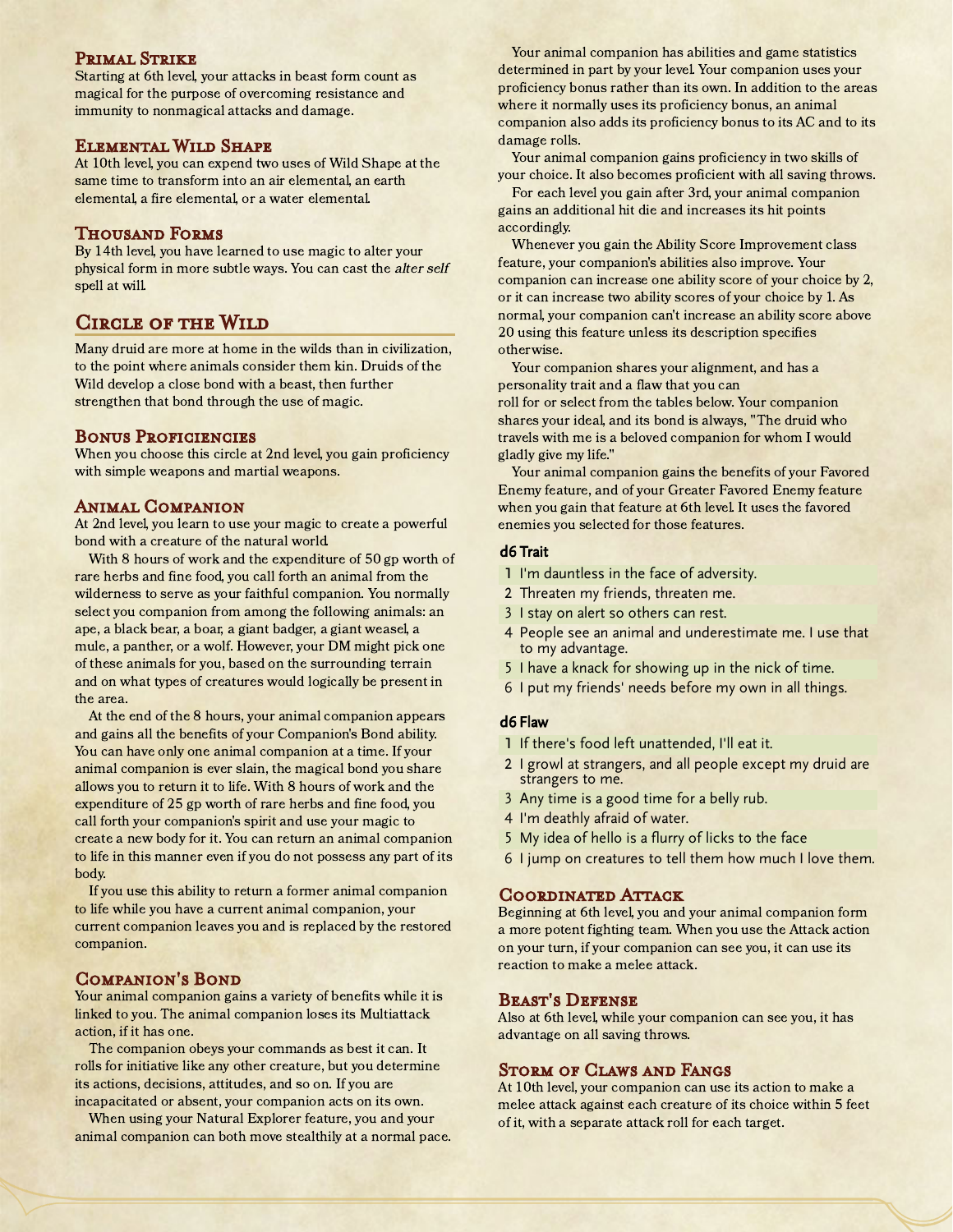#### Primal Strike

Starting at 6th level, your attacks in beast form count as magical for the purpose of overcoming resistance and immunity to nonmagical attacks and damage.

#### Elemental Wild Shape

At 10th level, you can expend two uses of Wild Shape at the same time to transform into an air elemental, an earth elemental, a fire elemental, or a water elemental.

#### Thousand Forms

By 14th level, you have learned to use magic to alter your physical form in more subtle ways. You can cast the alter self spell at will.

### Circle of the Wild

Many druid are more at home in the wilds than in civilization, to the point where animals consider them kin. Druids of the Wild develop a close bond with a beast, then further strengthen that bond through the use of magic.

#### BONUS PROFICIENCIES

When you choose this circle at 2nd level, you gain proficiency with simple weapons and martial weapons.

#### Animal Companion

At 2nd level, you learn to use your magic to create a powerful bond with a creature of the natural world.

With 8 hours of work and the expenditure of 50 gp worth of rare herbs and fine food, you call forth an animal from the wilderness to serve as your faithful companion. You normally select you companion from among the following animals: an ape, a black bear, a boar, a giant badger, a giant weasel, a mule, a panther, or a wolf. However, your DM might pick one of these animals for you, based on the surrounding terrain and on what types of creatures would logically be present in the area.

At the end of the 8 hours, your animal companion appears and gains all the benefits of your Companion's Bond ability. You can have only one animal companion at a time. If your animal companion is ever slain, the magical bond you share allows you to return it to life. With 8 hours of work and the expenditure of 25 gp worth of rare herbs and fine food, you call forth your companion's spirit and use your magic to create a new body for it. You can return an animal companion to life in this manner even if you do not possess any part of its body.

If you use this ability to return a former animal companion to life while you have a current animal companion, your current companion leaves you and is replaced by the restored companion.

#### Companion's Bond

Your animal companion gains a variety of benefits while it is linked to you. The animal companion loses its Multiattack action, if it has one.

The companion obeys your commands as best it can. It rolls for initiative like any other creature, but you determine its actions, decisions, attitudes, and so on. If you are incapacitated or absent, your companion acts on its own.

When using your Natural Explorer feature, you and your animal companion can both move stealthily at a normal pace.

Your animal companion has abilities and game statistics determined in part by your level. Your companion uses your proficiency bonus rather than its own. In addition to the areas where it normally uses its proficiency bonus, an animal companion also adds its proficiency bonus to its AC and to its damage rolls.

Your animal companion gains proficiency in two skills of your choice. It also becomes proficient with all saving throws.

For each level you gain after 3rd, your animal companion gains an additional hit die and increases its hit points accordingly.

Whenever you gain the Ability Score Improvement class feature, your companion's abilities also improve. Your companion can increase one ability score of your choice by 2, or it can increase two ability scores of your choice by 1. As normal, your companion can't increase an ability score above 20 using this feature unless its description specifies otherwise.

Your companion shares your alignment, and has a personality trait and a flaw that you can roll for or select from the tables below. Your companion shares your ideal, and its bond is always, "The druid who travels with me is a beloved companion for whom I would gladly give my life."

Your animal companion gains the benefits of your Favored Enemy feature, and of your Greater Favored Enemy feature when you gain that feature at 6th level. It uses the favored enemies you selected for those features.

#### d6 Trait

- 1 I'm dauntless in the face of adversity.
- 2 Threaten my friends, threaten me.
- 3 I stay on alert so others can rest.
- 4 People see an animal and underestimate me. I use that to my advantage.
- 5 I have a knack for showing up in the nick of time.
- 6 I put my friends' needs before my own in all things.

#### d6 Flaw

- 1 If there's food left unattended, I'll eat it.
- 2 I growl at strangers, and all people except my druid are strangers to me.
- 3 Any time is a good time for a belly rub.
- 4 I'm deathly afraid of water.
- 5 My idea of hello is a flurry of licks to the face
- 6 I jump on creatures to tell them how much I love them.

#### Coordinated Attack

Beginning at 6th level, you and your animal companion form a more potent fighting team. When you use the Attack action on your turn, if your companion can see you, it can use its reaction to make a melee attack.

#### BEAST'S DEFENSE

Also at 6th level, while your companion can see you, it has advantage on all saving throws.

### Storm of Claws and Fangs

At 10th level, your companion can use its action to make a melee attack against each creature of its choice within 5 feet of it, with a separate attack roll for each target.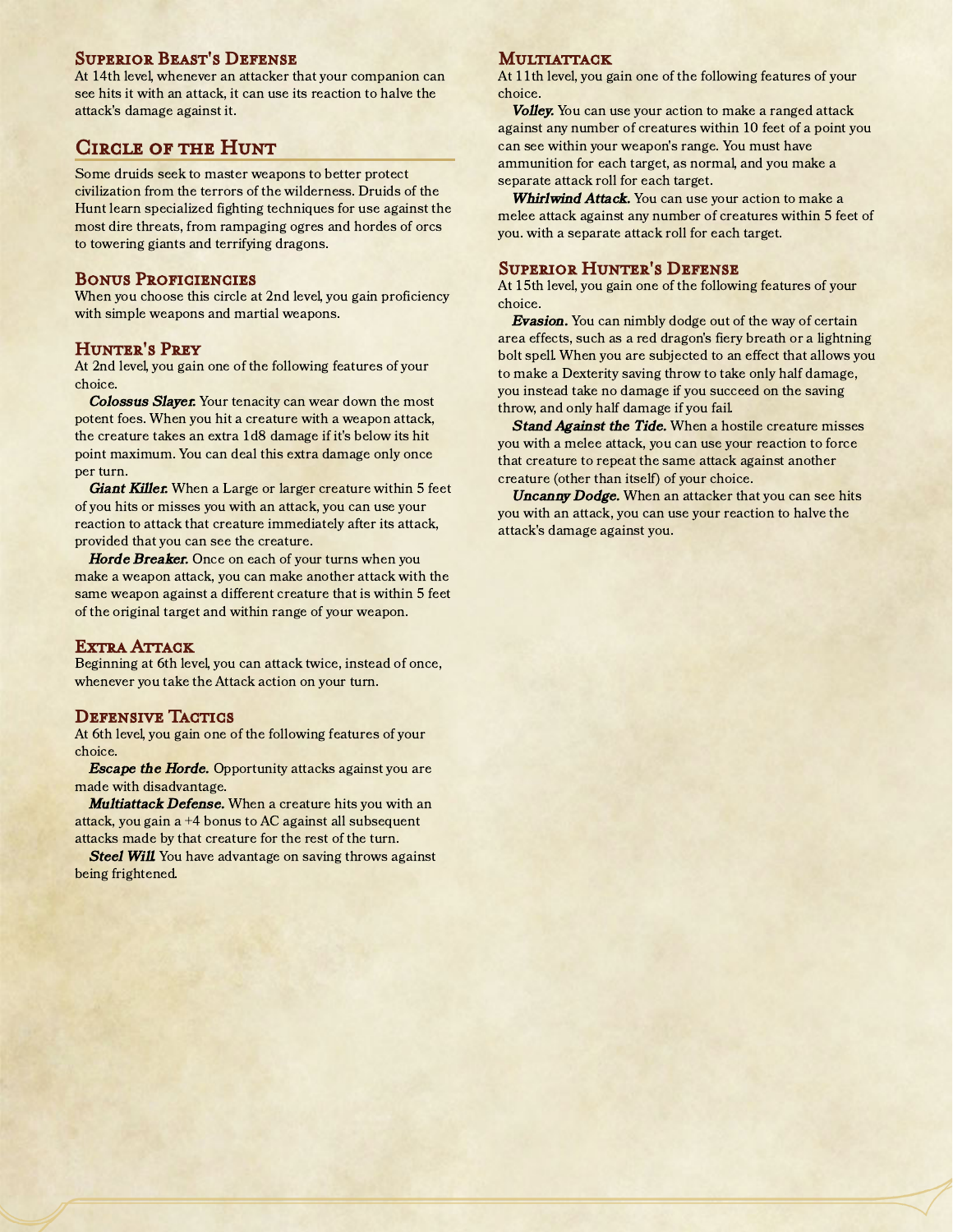#### Superior Beast's Defense

At 14th level, whenever an attacker that your companion can see hits it with an attack, it can use its reaction to halve the attack's damage against it.

### Circle of the Hunt

Some druids seek to master weapons to better protect civilization from the terrors of the wilderness. Druids of the Hunt learn specialized fighting techniques for use against the most dire threats, from rampaging ogres and hordes of orcs to towering giants and terrifying dragons.

#### BONUS PROFICIENCIES

When you choose this circle at 2nd level, you gain proficiency with simple weapons and martial weapons.

#### HUNTER'S PREY

At 2nd level, you gain one of the following features of your choice.

**Colossus Slayer.** Your tenacity can wear down the most potent foes. When you hit a creature with a weapon attack, the creature takes an extra 1d8 damage if it's below its hit point maximum. You can deal this extra damage only once per turn.

Giant Killer. When a Large or larger creature within 5 feet of you hits or misses you with an attack, you can use your reaction to attack that creature immediately after its attack, provided that you can see the creature.

**Horde Breaker.** Once on each of your turns when you make a weapon attack, you can make another attack with the same weapon against a different creature that is within 5 feet of the original target and within range of your weapon.

#### Extra Attack

Beginning at 6th level, you can attack twice, instead of once, whenever you take the Attack action on your turn.

#### DEFENSIVE TACTICS

At 6th level, you gain one of the following features of your choice.

**Escape the Horde.** Opportunity attacks against you are made with disadvantage.

**Multiattack Defense.** When a creature hits you with an attack, you gain a +4 bonus to AC against all subsequent attacks made by that creature for the rest of the turn.

**Steel Will.** You have advantage on saving throws against being frightened.

#### **MULTIATTACK**

At 11th level, you gain one of the following features of your choice.

Volley. You can use your action to make a ranged attack against any number of creatures within 10 feet of a point you can see within your weapon's range. You must have ammunition for each target, as normal, and you make a separate attack roll for each target.

Whirlwind Attack. You can use your action to make a melee attack against any number of creatures within 5 feet of you. with a separate attack roll for each target.

#### Superior Hunter's Defense

At 15th level, you gain one of the following features of your choice.

**Evasion.** You can nimbly dodge out of the way of certain area effects, such as a red dragon's fiery breath or a lightning bolt spell. When you are subjected to an effect that allows you to make a Dexterity saving throw to take only half damage, you instead take no damage if you succeed on the saving throw, and only half damage if you fail.

Stand Against the Tide. When a hostile creature misses you with a melee attack, you can use your reaction to force that creature to repeat the same attack against another creature (other than itself) of your choice.

**Uncanny Dodge.** When an attacker that you can see hits you with an attack, you can use your reaction to halve the attack's damage against you.